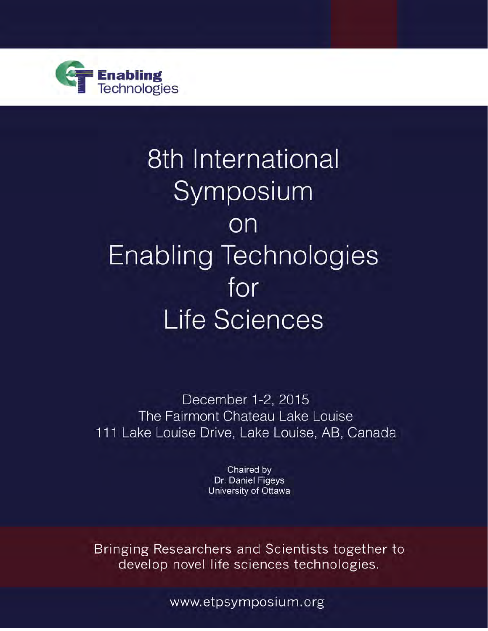

# 8th International Symposium on **Enabling Technologies** for **Life Sciences**

December 1-2, 2015 The Fairmont Chateau Lake Louise 111 Lake Louise Drive, Lake Louise, AB, Canada

> Chaired by Dr. Daniel Figeys University of Ottawa

Bringing Researchers and Scientists together to develop novel life sciences technologies.

www.etpsymposium.org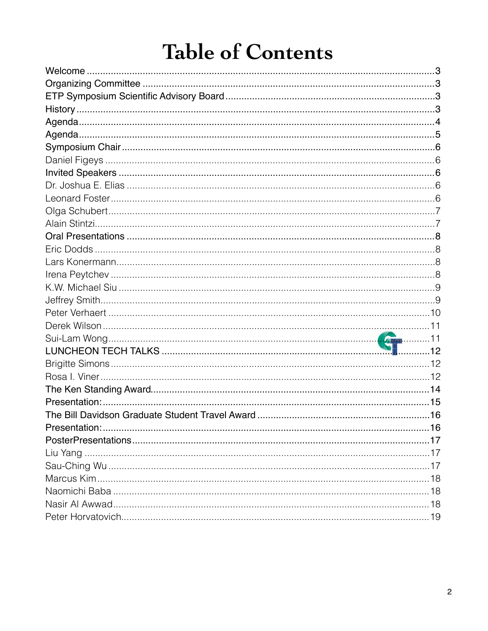# **Table of Contents**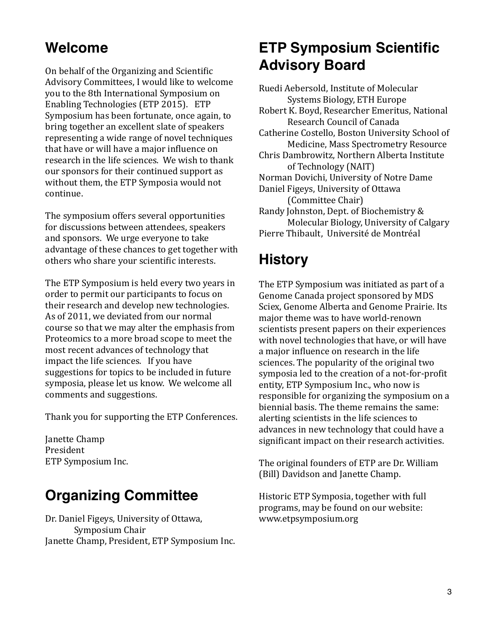# **Welcome**

On behalf of the Organizing and Scientific Advisory Committees, I would like to welcome you to the 8th International Symposium on Enabling Technologies (ETP 2015). ETP Symposium has been fortunate, once again, to bring together an excellent slate of speakers representing a wide range of novel techniques that have or will have a major influence on research in the life sciences. We wish to thank our sponsors for their continued support as without them, the ETP Symposia would not continue.

The symposium offers several opportunities for discussions between attendees, speakers and sponsors. We urge everyone to take advantage of these chances to get together with others who share your scientific interests.

The ETP Symposium is held every two years in order to permit our participants to focus on their research and develop new technologies. As of 2011, we deviated from our normal course so that we may alter the emphasis from Proteomics to a more broad scope to meet the most recent advances of technology that impact the life sciences. If you have suggestions for topics to be included in future symposia, please let us know. We welcome all comments and suggestions.

Thank you for supporting the ETP Conferences.

Janette Champ President ETP Symposium Inc.

# **Organizing Committee**

Dr. Daniel Figeys, University of Ottawa, Symposium Chair Janette Champ, President, ETP Symposium Inc.

# **ETP Symposium Scientific Advisory Board**

Ruedi Aebersold, Institute of Molecular Systems Biology, ETH Europe Robert K. Boyd, Researcher Emeritus, National Research Council of Canada Catherine Costello, Boston University School of Medicine, Mass Spectrometry Resource Chris Dambrowitz, Northern Alberta Institute of Technology (NAIT) Norman Dovichi, University of Notre Dame Daniel Figeys, University of Ottawa (Committee Chair) Randy Johnston, Dept. of Biochemistry & Molecular Biology, University of Calgary Pierre Thibault, Université de Montréal

# **History**

The ETP Symposium was initiated as part of a Genome Canada project sponsored by MDS Sciex, Genome Alberta and Genome Prairie. Its major theme was to have world-renown scientists present papers on their experiences with novel technologies that have, or will have a major influence on research in the life sciences. The popularity of the original two symposia led to the creation of a not-for-profit entity, ETP Symposium Inc., who now is responsible for organizing the symposium on a biennial basis. The theme remains the same: alerting scientists in the life sciences to advances in new technology that could have a significant impact on their research activities.

The original founders of ETP are Dr. William (Bill) Davidson and Janette Champ.

Historic ETP Symposia, together with full programs, may be found on our website: www.etpsymposium.org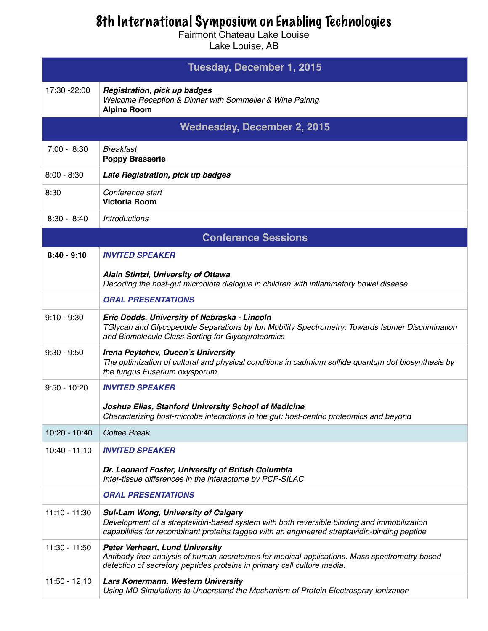# 8th International Symposium on Enabling Technologies

Fairmont Chateau Lake Louise

Lake Louise, AB

| Tuesday, December 1, 2015          |                                                                                                                                                                                                                                          |  |  |  |
|------------------------------------|------------------------------------------------------------------------------------------------------------------------------------------------------------------------------------------------------------------------------------------|--|--|--|
| 17:30 -22:00                       | <b>Registration, pick up badges</b><br>Welcome Reception & Dinner with Sommelier & Wine Pairing<br><b>Alpine Room</b>                                                                                                                    |  |  |  |
| <b>Wednesday, December 2, 2015</b> |                                                                                                                                                                                                                                          |  |  |  |
| $7:00 - 8:30$                      | <b>Breakfast</b><br><b>Poppy Brasserie</b>                                                                                                                                                                                               |  |  |  |
| $8:00 - 8:30$                      | Late Registration, pick up badges                                                                                                                                                                                                        |  |  |  |
| 8:30                               | Conference start<br><b>Victoria Room</b>                                                                                                                                                                                                 |  |  |  |
| $8:30 - 8:40$                      | <b>Introductions</b>                                                                                                                                                                                                                     |  |  |  |
| <b>Conference Sessions</b>         |                                                                                                                                                                                                                                          |  |  |  |
| $8:40 - 9:10$                      | <b>INVITED SPEAKER</b>                                                                                                                                                                                                                   |  |  |  |
|                                    | Alain Stintzi, University of Ottawa<br>Decoding the host-gut microbiota dialogue in children with inflammatory bowel disease                                                                                                             |  |  |  |
|                                    | <b>ORAL PRESENTATIONS</b>                                                                                                                                                                                                                |  |  |  |
| $9:10 - 9:30$                      | Eric Dodds, University of Nebraska - Lincoln<br>TGIycan and Glycopeptide Separations by Ion Mobility Spectrometry: Towards Isomer Discrimination<br>and Biomolecule Class Sorting for Glycoproteomics                                    |  |  |  |
| $9:30 - 9:50$                      | Irena Peytchev, Queen's University<br>The optimization of cultural and physical conditions in cadmium sulfide quantum dot biosynthesis by<br>the fungus Fusarium oxysporum                                                               |  |  |  |
| $9:50 - 10:20$                     | <b>INVITED SPEAKER</b>                                                                                                                                                                                                                   |  |  |  |
|                                    | Joshua Elias, Stanford University School of Medicine<br>Characterizing host-microbe interactions in the gut: host-centric proteomics and beyond                                                                                          |  |  |  |
| 10:20 - 10:40                      | Coffee Break                                                                                                                                                                                                                             |  |  |  |
| $10:40 - 11:10$                    | <b>INVITED SPEAKER</b>                                                                                                                                                                                                                   |  |  |  |
|                                    | Dr. Leonard Foster, University of British Columbia<br>Inter-tissue differences in the interactome by PCP-SILAC                                                                                                                           |  |  |  |
|                                    | <b>ORAL PRESENTATIONS</b>                                                                                                                                                                                                                |  |  |  |
| $11:10 - 11:30$                    | <b>Sui-Lam Wong, University of Calgary</b><br>Development of a streptavidin-based system with both reversible binding and immobilization<br>capabilities for recombinant proteins tagged with an engineered streptavidin-binding peptide |  |  |  |
| $11:30 - 11:50$                    | <b>Peter Verhaert, Lund University</b><br>Antibody-free analysis of human secretomes for medical applications. Mass spectrometry based<br>detection of secretory peptides proteins in primary cell culture media.                        |  |  |  |
| $11:50 - 12:10$                    | Lars Konermann, Western University<br>Using MD Simulations to Understand the Mechanism of Protein Electrospray Ionization                                                                                                                |  |  |  |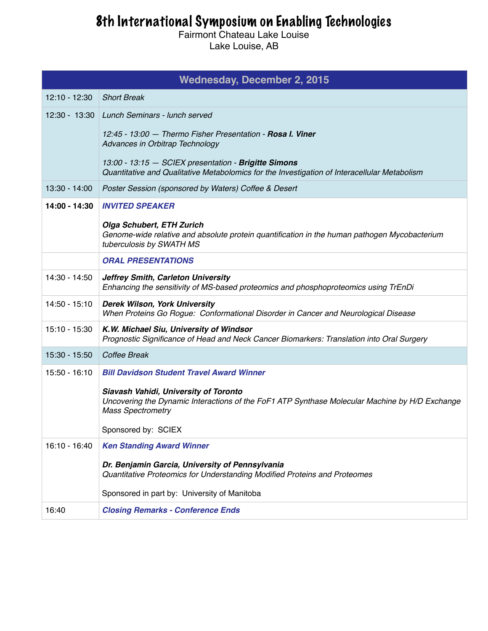# 8th International Symposium on Enabling Technologies

Fairmont Chateau Lake Louise Lake Louise, AB

| <b>Wednesday, December 2, 2015</b> |                                                                                                                                                                     |  |  |  |
|------------------------------------|---------------------------------------------------------------------------------------------------------------------------------------------------------------------|--|--|--|
| $12:10 - 12:30$                    | <b>Short Break</b>                                                                                                                                                  |  |  |  |
|                                    | 12:30 - 13:30 Lunch Seminars - lunch served                                                                                                                         |  |  |  |
|                                    | 12:45 - 13:00 - Thermo Fisher Presentation - <b>Rosa I. Viner</b><br>Advances in Orbitrap Technology                                                                |  |  |  |
|                                    | 13:00 - 13:15 - SCIEX presentation - Brigitte Simons<br>Quantitative and Qualitative Metabolomics for the Investigation of Interacellular Metabolism                |  |  |  |
| 13:30 - 14:00                      | Poster Session (sponsored by Waters) Coffee & Desert                                                                                                                |  |  |  |
| 14:00 - 14:30                      | <b>INVITED SPEAKER</b>                                                                                                                                              |  |  |  |
|                                    | <b>Olga Schubert, ETH Zurich</b><br>Genome-wide relative and absolute protein quantification in the human pathogen Mycobacterium<br>tuberculosis by SWATH MS        |  |  |  |
|                                    | <b>ORAL PRESENTATIONS</b>                                                                                                                                           |  |  |  |
| 14:30 - 14:50                      | Jeffrey Smith, Carleton University<br>Enhancing the sensitivity of MS-based proteomics and phosphoproteomics using TrEnDi                                           |  |  |  |
| $14:50 - 15:10$                    | <b>Derek Wilson, York University</b><br>When Proteins Go Rogue: Conformational Disorder in Cancer and Neurological Disease                                          |  |  |  |
| 15:10 - 15:30                      | K.W. Michael Siu, University of Windsor<br>Prognostic Significance of Head and Neck Cancer Biomarkers: Translation into Oral Surgery                                |  |  |  |
| 15:30 - 15:50                      | Coffee Break                                                                                                                                                        |  |  |  |
| $15:50 - 16:10$                    | <b>Bill Davidson Student Travel Award Winner</b>                                                                                                                    |  |  |  |
|                                    | Siavash Vahidi, University of Toronto<br>Uncovering the Dynamic Interactions of the FoF1 ATP Synthase Molecular Machine by H/D Exchange<br><b>Mass Spectrometry</b> |  |  |  |
|                                    | Sponsored by: SCIEX                                                                                                                                                 |  |  |  |
| 16:10 - 16:40                      | <b>Ken Standing Award Winner</b>                                                                                                                                    |  |  |  |
|                                    | Dr. Benjamin Garcia, University of Pennsylvania<br>Quantitative Proteomics for Understanding Modified Proteins and Proteomes                                        |  |  |  |
|                                    | Sponsored in part by: University of Manitoba                                                                                                                        |  |  |  |
| 16:40                              | <b>Closing Remarks - Conference Ends</b>                                                                                                                            |  |  |  |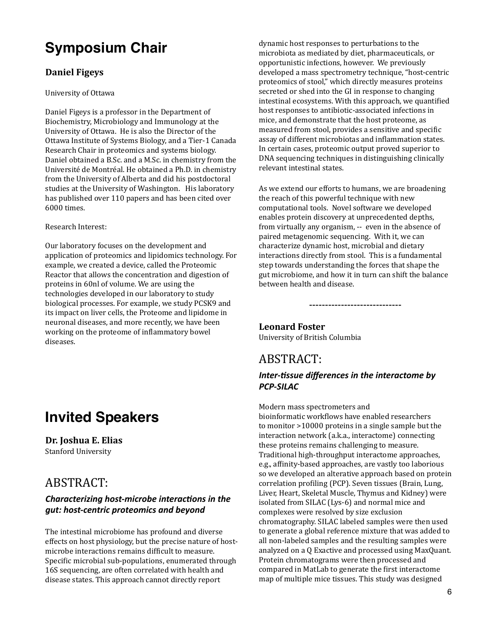# **Symposium Chair**

### **Daniel Figeys**

#### University of Ottawa

Daniel Figeys is a professor in the Department of Biochemistry, Microbiology and Immunology at the University of Ottawa. He is also the Director of the Ottawa Institute of Systems Biology, and a Tier-1 Canada Research Chair in proteomics and systems biology. Daniel obtained a B.Sc. and a M.Sc. in chemistry from the Université de Montréal. He obtained a Ph.D. in chemistry from the University of Alberta and did his postdoctoral studies at the University of Washington. His laboratory has published over 110 papers and has been cited over 6000 times. 

#### Research Interest:

Our laboratory focuses on the development and application of proteomics and lipidomics technology. For example, we created a device, called the Proteomic Reactor that allows the concentration and digestion of proteins in 60nl of volume. We are using the technologies developed in our laboratory to study biological processes. For example, we study PCSK9 and its impact on liver cells, the Proteome and lipidome in neuronal diseases, and more recently, we have been working on the proteome of inflammatory bowel diseases. 

# **Invited Speakers**

**Dr.** Joshua E. Elias Stanford University

# ABSTRACT:

#### *Characterizing host-microbe interactions in the gut: host-centric proteomics and beyond*

The intestinal microbiome has profound and diverse effects on host physiology, but the precise nature of hostmicrobe interactions remains difficult to measure. Specific microbial sub-populations, enumerated through 16S sequencing, are often correlated with health and disease states. This approach cannot directly report

dynamic host responses to perturbations to the microbiota as mediated by diet, pharmaceuticals, or opportunistic infections, however. We previously developed a mass spectrometry technique, "host-centric proteomics of stool," which directly measures proteins secreted or shed into the GI in response to changing intestinal ecosystems. With this approach, we quantified host responses to antibiotic-associated infections in mice, and demonstrate that the host proteome, as measured from stool, provides a sensitive and specific assay of different microbiotas and inflammation states. In certain cases, proteomic output proved superior to DNA sequencing techniques in distinguishing clinically relevant intestinal states.

As we extend our efforts to humans, we are broadening the reach of this powerful technique with new computational tools. Novel software we developed enables protein discovery at unprecedented depths, from virtually any organism, -- even in the absence of paired metagenomic sequencing. With it, we can characterize dynamic host, microbial and dietary interactions directly from stool. This is a fundamental step towards understanding the forces that shape the gut microbiome, and how it in turn can shift the balance between health and disease.

-----------------------------

### Leonard Foster

University of British Columbia

# ABSTRACT:

#### *Inter-tissue differences in the interactome by PCP-SILAC*

Modern mass spectrometers and bioinformatic workflows have enabled researchers to monitor  $>10000$  proteins in a single sample but the

interaction network (a.k.a., interactome) connecting these proteins remains challenging to measure. Traditional high-throughput interactome approaches, e.g., affinity-based approaches, are vastly too laborious so we developed an alterative approach based on protein correlation profiling (PCP). Seven tissues (Brain, Lung, Liver, Heart, Skeletal Muscle, Thymus and Kidney) were isolated from SILAC (Lys-6) and normal mice and complexes were resolved by size exclusion chromatography. SILAC labeled samples were then used to generate a global reference mixture that was added to all non-labeled samples and the resulting samples were analyzed on a 0 Exactive and processed using MaxQuant. Protein chromatograms were then processed and compared in MatLab to generate the first interactome map of multiple mice tissues. This study was designed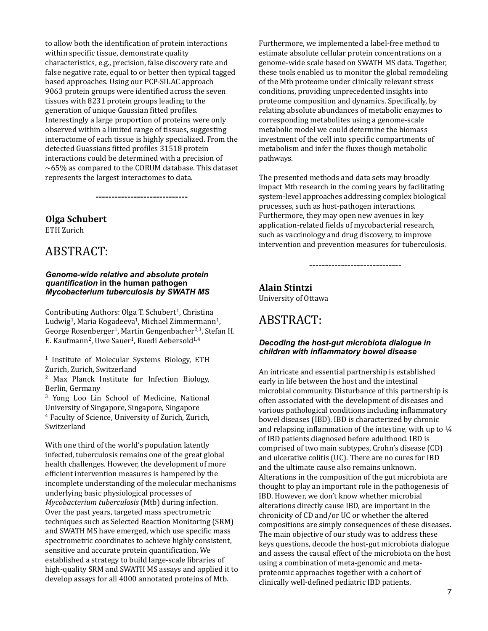to allow both the identification of protein interactions within specific tissue, demonstrate quality characteristics, e.g., precision, false discovery rate and false negative rate, equal to or better then typical tagged based approaches. Using our PCP-SILAC approach 9063 protein groups were identified across the seven tissues with 8231 protein groups leading to the generation of unique Gaussian fitted profiles. Interestingly a large proportion of proteins were only observed within a limited range of tissues, suggesting interactome of each tissue is highly specialized. From the detected Guassians fitted profiles 31518 protein interactions could be determined with a precision of  $\sim$  65% as compared to the CORUM database. This dataset represents the largest interactomes to data.

-----------------------------

#### **Olga Schubert**

ETH Zurich

### ABSTRACT:

#### *Genome-wide relative and absolute protein quantification* **in the human pathogen**  *Mycobacterium tuberculosis by SWATH MS*

Contributing Authors: Olga T. Schubert<sup>1</sup>, Christina Ludwig<sup>1</sup>, Maria Kogadeeva<sup>1</sup>, Michael Zimmermann<sup>1</sup>, George Rosenberger<sup>1</sup>, Martin Gengenbacher<sup>2,3</sup>, Stefan H. E. Kaufmann<sup>2</sup>, Uwe Sauer<sup>1</sup>, Ruedi Aebersold<sup>1,4</sup>

 $1$  Institute of Molecular Systems Biology, ETH Zurich, Zurich, Switzerland

<sup>2</sup> Max Planck Institute for Infection Biology, Berlin, Germany

<sup>3</sup> Yong Loo Lin School of Medicine, National University of Singapore, Singapore, Singapore <sup>4</sup> Faculty of Science, University of Zurich, Zurich,

Switzerland 

With one third of the world's population latently infected, tuberculosis remains one of the great global health challenges. However, the development of more efficient intervention measures is hampered by the incomplete understanding of the molecular mechanisms underlying basic physiological processes of *Mycobacterium tuberculosis* (Mtb) during infection. Over the past years, targeted mass spectrometric techniques such as Selected Reaction Monitoring (SRM) and SWATH MS have emerged, which use specific mass spectrometric coordinates to achieve highly consistent. sensitive and accurate protein quantification. We established a strategy to build large-scale libraries of high-quality SRM and SWATH MS assays and applied it to develop assays for all 4000 annotated proteins of Mtb.

Furthermore, we implemented a label-free method to estimate absolute cellular protein concentrations on a genome-wide scale based on SWATH MS data. Together, these tools enabled us to monitor the global remodeling of the Mtb proteome under clinically relevant stress conditions, providing unprecedented insights into proteome composition and dynamics. Specifically, by relating absolute abundances of metabolic enzymes to corresponding metabolites using a genome-scale metabolic model we could determine the biomass investment of the cell into specific compartments of metabolism and infer the fluxes though metabolic pathways.

The presented methods and data sets may broadly impact Mtb research in the coming years by facilitating system-level approaches addressing complex biological processes, such as host-pathogen interactions. Furthermore, they may open new avenues in key application-related fields of mycobacterial research, such as vaccinology and drug discovery, to improve intervention and prevention measures for tuberculosis.

-----------------------------

#### **Alain Stintzi**

University of Ottawa

### ABSTRACT:

#### *Decoding the host-gut microbiota dialogue in children with inflammatory bowel disease*

An intricate and essential partnership is established early in life between the host and the intestinal microbial community. Disturbance of this partnership is often associated with the development of diseases and various pathological conditions including inflammatory bowel diseases (IBD). IBD is characterized by chronic and relapsing inflammation of the intestine, with up to  $\frac{1}{4}$ of IBD patients diagnosed before adulthood. IBD is comprised of two main subtypes, Crohn's disease (CD) and ulcerative colitis (UC). There are no cures for IBD and the ultimate cause also remains unknown. Alterations in the composition of the gut microbiota are thought to play an important role in the pathogenesis of IBD. However, we don't know whether microbial alterations directly cause IBD, are important in the chronicity of CD and/or UC or whether the altered compositions are simply consequences of these diseases. The main objective of our study was to address these keys questions, decode the host-gut microbiota dialogue and assess the causal effect of the microbiota on the host using a combination of meta-genomic and metaproteomic approaches together with a cohort of clinically well-defined pediatric IBD patients.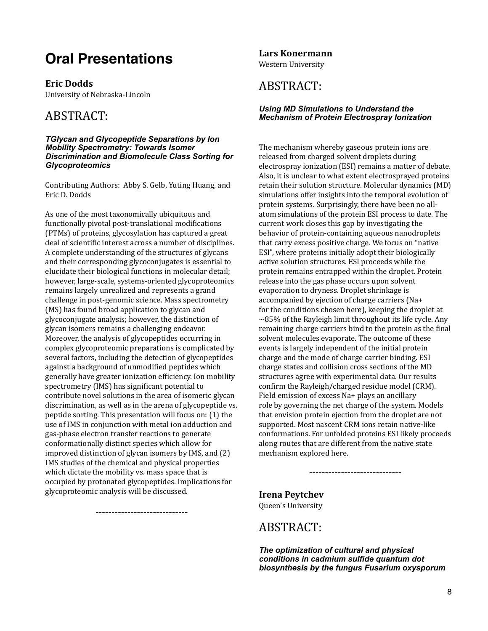# **Oral Presentations**

**Eric Dodds**

University of Nebraska-Lincoln

# ABSTRACT:

*TGlycan and Glycopeptide Separations by Ion Mobility Spectrometry: Towards Isomer Discrimination and Biomolecule Class Sorting for Glycoproteomics* 

Contributing Authors: Abby S. Gelb, Yuting Huang, and Eric D. Dodds

As one of the most taxonomically ubiquitous and functionally pivotal post-translational modifications (PTMs) of proteins, glycosylation has captured a great deal of scientific interest across a number of disciplines. A complete understanding of the structures of glycans and their corresponding glycoconjugates is essential to elucidate their biological functions in molecular detail; however, large-scale, systems-oriented glycoproteomics remains largely unrealized and represents a grand challenge in post-genomic science. Mass spectrometry (MS) has found broad application to glycan and glycoconjugate analysis; however, the distinction of glycan isomers remains a challenging endeavor. Moreover, the analysis of glycopeptides occurring in complex glycoproteomic preparations is complicated by several factors, including the detection of glycopeptides against a background of unmodified peptides which generally have greater ionization efficiency. Ion mobility spectrometry (IMS) has significant potential to contribute novel solutions in the area of isomeric glycan discrimination, as well as in the arena of glycopeptide vs. peptide sorting. This presentation will focus on: (1) the use of IMS in conjunction with metal ion adduction and gas-phase electron transfer reactions to generate conformationally distinct species which allow for improved distinction of glycan isomers by IMS, and  $(2)$ IMS studies of the chemical and physical properties which dictate the mobility vs. mass space that is occupied by protonated glycopeptides. Implications for glycoproteomic analysis will be discussed.

-----------------------------

**Lars Konermann**

Western University

# ABSTRACT:

#### *Using MD Simulations to Understand the Mechanism of Protein Electrospray Ionization*

The mechanism whereby gaseous protein ions are released from charged solvent droplets during electrospray ionization (ESI) remains a matter of debate. Also, it is unclear to what extent electrosprayed proteins retain their solution structure. Molecular dynamics (MD) simulations offer insights into the temporal evolution of protein systems. Surprisingly, there have been no allatom simulations of the protein ESI process to date. The current work closes this gap by investigating the behavior of protein-containing aqueous nanodroplets that carry excess positive charge. We focus on "native ESI", where proteins initially adopt their biologically active solution structures. ESI proceeds while the protein remains entrapped within the droplet. Protein release into the gas phase occurs upon solvent evaporation to dryness. Droplet shrinkage is accompanied by ejection of charge carriers (Na+ for the conditions chosen here), keeping the droplet at  $\sim$ 85% of the Rayleigh limit throughout its life cycle. Any remaining charge carriers bind to the protein as the final solvent molecules evaporate. The outcome of these events is largely independent of the initial protein charge and the mode of charge carrier binding. ESI charge states and collision cross sections of the MD structures agree with experimental data. Our results confirm the Rayleigh/charged residue model (CRM). Field emission of excess Na+ plays an ancillary role by governing the net charge of the system. Models that envision protein ejection from the droplet are not supported. Most nascent CRM ions retain native-like conformations. For unfolded proteins ESI likely proceeds along routes that are different from the native state mechanism explored here.

#### **Irena Peytchev** Queen's University

### ABSTRACT:

*The optimization of cultural and physical conditions in cadmium sulfide quantum dot biosynthesis by the fungus Fusarium oxysporum* 

-----------------------------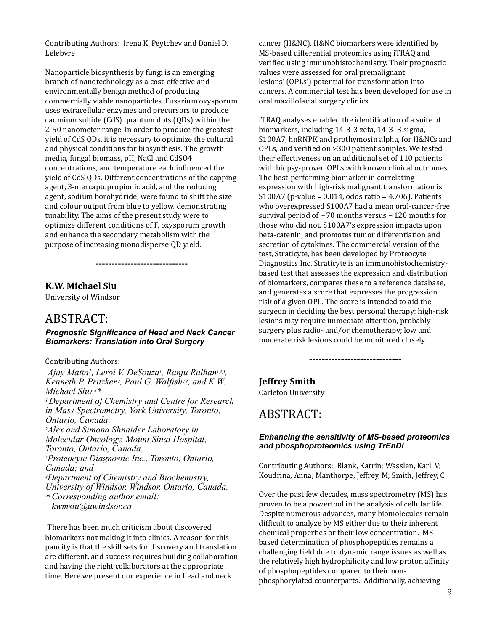Contributing Authors: Irena K. Peytchev and Daniel D. Lefebvre

Nanoparticle biosynthesis by fungi is an emerging branch of nanotechnology as a cost-effective and environmentally benign method of producing commercially viable nanoparticles. Fusarium oxysporum uses extracellular enzymes and precursors to produce cadmium sulfide (CdS) quantum dots (ODs) within the 2-50 nanometer range. In order to produce the greatest yield of CdS ODs, it is necessary to optimize the cultural and physical conditions for biosynthesis. The growth media, fungal biomass, pH, NaCl and CdSO4 concentrations, and temperature each influenced the yield of CdS ODs. Different concentrations of the capping agent, 3-mercaptopropionic acid, and the reducing agent, sodium borohydride, were found to shift the size and colour output from blue to yellow, demonstrating tunability. The aims of the present study were to optimize different conditions of F. oxysporum growth and enhance the secondary metabolism with the purpose of increasing monodisperse OD yield.

#### **K.W. Michael Siu**

University of Windsor

### ABSTRACT:

*Prognostic Significance of Head and Neck Cancer Biomarkers: Translation into Oral Surgery* 

-----------------------------

Contributing Authors:

*Ajay Matta1, Leroi V. DeSouza1, Ranju Ralhan1,2,3, Kenneth P. Pritzker,3, Paul G. Walfish2,3, and K.W. Michael Siu1,4\* 1 Department of Chemistry and Centre for Research in Mass Spectrometry, York University, Toronto, Ontario, Canada; 2Alex and Simona Shnaider Laboratory in Molecular Oncology, Mount Sinai Hospital, Toronto, Ontario, Canada; 3Proteocyte Diagnostic Inc., Toronto, Ontario, Canada; and 4Department of Chemistry and Biochemistry, University of Windsor, Windsor, Ontario, Canada. \* Corresponding author email: kwmsiu@uwindsor.ca*

There has been much criticism about discovered biomarkers not making it into clinics. A reason for this paucity is that the skill sets for discovery and translation are different, and success requires building collaboration and having the right collaborators at the appropriate time. Here we present our experience in head and neck

cancer (H&NC). H&NC biomarkers were identified by MS-based differential proteomics using iTRAQ and verified using immunohistochemistry. Their prognostic values were assessed for oral premalignant lesions' (OPLs') potential for transformation into cancers. A commercial test has been developed for use in oral maxillofacial surgery clinics.

iTRAQ analyses enabled the identification of a suite of biomarkers, including 14-3-3 zeta, 14-3- 3 sigma, S100A7, hnRNPK and prothymosin alpha, for H&NCs and OPLs, and verified on >300 patient samples. We tested their effectiveness on an additional set of 110 patients with biopsy-proven OPLs with known clinical outcomes. The best-performing biomarker in correlating expression with high-risk malignant transformation is S100A7 (p-value =  $0.014$ , odds ratio =  $4.706$ ). Patients who overexpressed S100A7 had a mean oral-cancer-free survival period of  $\sim$ 70 months versus  $\sim$ 120 months for those who did not. S100A7's expression impacts upon beta-catenin, and promotes tumor differentiation and secretion of cytokines. The commercial version of the test, Straticyte, has been developed by Proteocyte Diagnostics Inc. Straticyte is an immunohistochemistrybased test that assesses the expression and distribution of biomarkers, compares these to a reference database, and generates a score that expresses the progression risk of a given OPL. The score is intended to aid the surgeon in deciding the best personal therapy: high-risk lesions may require immediate attention, probably surgery plus radio- and/or chemotherapy; low and moderate risk lesions could be monitored closely.

**Jeffrey Smith**

Carleton University

### ABSTRACT:

#### *Enhancing the sensitivity of MS-based proteomics and phosphoproteomics using TrEnDi*

-----------------------------

Contributing Authors: Blank, Katrin; Wasslen, Karl, V; Koudrina, Anna; Manthorpe, Jeffrey, M; Smith, Jeffrey, C

Over the past few decades, mass spectrometry (MS) has proven to be a powertool in the analysis of cellular life. Despite numerous advances, many biomolecules remain difficult to analyze by MS either due to their inherent chemical properties or their low concentration. MSbased determination of phosphopeptides remains a challenging field due to dynamic range issues as well as the relatively high hydrophilicity and low proton affinity of phosphopeptides compared to their nonphosphorylated counterparts. Additionally, achieving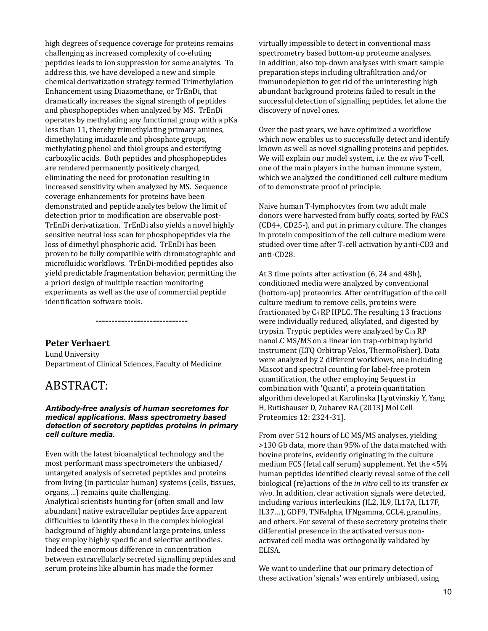high degrees of sequence coverage for proteins remains challenging as increased complexity of co-eluting peptides leads to ion suppression for some analytes. To address this, we have developed a new and simple chemical derivatization strategy termed Trimethylation Enhancement using Diazomethane, or TrEnDi, that dramatically increases the signal strength of peptides and phosphopeptides when analyzed by MS. TrEnDi operates by methylating any functional group with a pKa less than 11, thereby trimethylating primary amines, dimethylating imidazole and phosphate groups, methylating phenol and thiol groups and esterifying carboxylic acids. Both peptides and phosphopeptides are rendered permanently positively charged, eliminating the need for protonation resulting in increased sensitivity when analyzed by MS. Sequence coverage enhancements for proteins have been demonstrated and peptide analytes below the limit of detection prior to modification are observable post-TrEnDi derivatization. TrEnDi also vields a novel highly sensitive neutral loss scan for phosphopeptides via the loss of dimethyl phosphoric acid. TrEnDi has been proven to be fully compatible with chromatographic and microfluidic workflows. TrEnDi-modified peptides also yield predictable fragmentation behavior, permitting the a priori design of multiple reaction monitoring experiments as well as the use of commercial peptide identification software tools.

**Peter Verhaert** Lund University Department of Clinical Sciences, Faculty of Medicine

### ABSTRACT:

#### *Antibody-free analysis of human secretomes for medical applications. Mass spectrometry based detection of secretory peptides proteins in primary cell culture media.*

-----------------------------

Even with the latest bioanalytical technology and the most performant mass spectrometers the unbiased/ untargeted analysis of secreted peptides and proteins from living (in particular human) systems (cells, tissues, organs,...) remains quite challenging. Analytical scientists hunting for (often small and low abundant) native extracellular peptides face apparent difficulties to identify these in the complex biological background of highly abundant large proteins, unless they employ highly specific and selective antibodies. Indeed the enormous difference in concentration between extracellularly secreted signalling peptides and serum proteins like albumin has made the former

virtually impossible to detect in conventional mass spectrometry based bottom-up proteome analyses. In addition, also top-down analyses with smart sample preparation steps including ultrafiltration and/or immunodepletion to get rid of the uninteresting high abundant background proteins failed to result in the successful detection of signalling peptides, let alone the discovery of novel ones.

Over the past years, we have optimized a workflow which now enables us to successfully detect and identify known as well as novel signalling proteins and peptides. We will explain our model system, i.e. the ex vivo T-cell, one of the main players in the human immune system, which we analyzed the conditioned cell culture medium of to demonstrate proof of principle.

Naive human T-lymphocytes from two adult male donors were harvested from buffy coats, sorted by FACS  $(CD4+, CD25-)$ , and put in primary culture. The changes in protein composition of the cell culture medium were studied over time after T-cell activation by anti-CD3 and anti-CD28.

At 3 time points after activation (6, 24 and 48h), conditioned media were analyzed by conventional (bottom-up) proteomics. After centrifugation of the cell culture medium to remove cells, proteins were fractionated by  $C_4$  RP HPLC. The resulting 13 fractions were individually reduced, alkylated, and digested by trypsin. Tryptic peptides were analyzed by  $C_{18}$  RP nanoLC MS/MS on a linear ion trap-orbitrap hybrid instrument (LTQ Orbitrap Velos, ThermoFisher). Data were analyzed by 2 different workflows, one including Mascot and spectral counting for label-free protein quantification, the other employing Sequest in combination with 'Quanti', a protein quantitation algorithm developed at Karolinska [Lyutvinskiy Y, Yang H, Rutishauser D, Zubarev RA (2013) Mol Cell Proteomics 12: 2324-31].

From over 512 hours of LC MS/MS analyses, yielding >130 Gb data, more than 95% of the data matched with bovine proteins, evidently originating in the culture medium FCS (fetal calf serum) supplement. Yet the <5% human peptides identified clearly reveal some of the cell biological (re)actions of the *in vitro* cell to its transfer *ex vivo*. In addition, clear activation signals were detected, including various interleukins (IL2, IL9, IL17A, IL17F, IL37...), GDF9, TNFalpha, IFNgamma, CCL4, granulins, and others. For several of these secretory proteins their differential presence in the activated versus nonactivated cell media was orthogonally validated by ELISA.

We want to underline that our primary detection of these activation 'signals' was entirely unbiased, using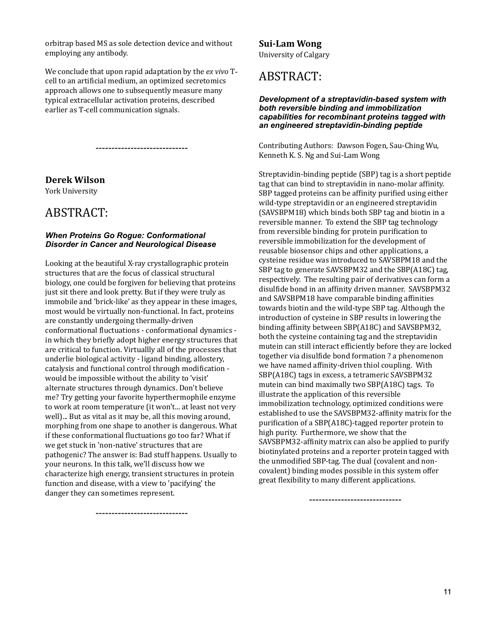orbitrap based MS as sole detection device and without employing any antibody.

We conclude that upon rapid adaptation by the *ex vivo* Tcell to an artificial medium, an optimized secretomics approach allows one to subsequently measure many typical extracellular activation proteins, described earlier as T-cell communication signals.

-----------------------------

**Derek Wilson**

York University

### ABSTRACT:

#### *When Proteins Go Rogue: Conformational Disorder in Cancer and Neurological Disease*

Looking at the beautiful X-ray crystallographic protein structures that are the focus of classical structural biology, one could be forgiven for believing that proteins just sit there and look pretty. But if they were truly as immobile and 'brick-like' as they appear in these images, most would be virtually non-functional. In fact, proteins are constantly undergoing thermally-driven conformational fluctuations - conformational dynamics in which they briefly adopt higher energy structures that are critical to function. Virtuallly all of the processes that underlie biological activity - ligand binding, allostery, catalysis and functional control through modification would be impossible without the ability to 'visit' alternate structures through dynamics. Don't believe me? Try getting your favorite hyperthermophile enzyme to work at room temperature (it won't... at least not very well)... But as vital as it may be, all this moving around, morphing from one shape to another is dangerous. What if these conformational fluctuations go too far? What if we get stuck in 'non-native' structures that are pathogenic? The answer is: Bad stuff happens. Usually to your neurons. In this talk, we'll discuss how we characterize high energy, transient structures in protein function and disease, with a view to 'pacifying' the danger they can sometimes represent.

**Sui-Lam Wong** University of Calgary

# ABSTRACT:

#### *Development of a streptavidin-based system with both reversible binding and immobilization capabilities for recombinant proteins tagged with an engineered streptavidin-binding peptide*

Contributing Authors: Dawson Fogen, Sau-Ching Wu, Kenneth K. S. Ng and Sui-Lam Wong

Streptavidin-binding peptide (SBP) tag is a short peptide tag that can bind to streptavidin in nano-molar affinity. SBP tagged proteins can be affinity purified using either wild-type streptavidin or an engineered streptavidin (SAVSBPM18) which binds both SBP tag and biotin in a reversible manner. To extend the SBP tag technology from reversible binding for protein purification to reversible immobilization for the development of reusable biosensor chips and other applications, a cysteine residue was introduced to SAVSBPM18 and the SBP tag to generate SAVSBPM32 and the SBP(A18C) tag, respectively. The resulting pair of derivatives can form a disulfide bond in an affinity driven manner. SAVSBPM32 and SAVSBPM18 have comparable binding affinities towards biotin and the wild-type SBP tag. Although the introduction of cysteine in SBP results in lowering the binding affinity between SBP(A18C) and SAVSBPM32, both the cysteine containing tag and the streptavidin mutein can still interact efficiently before they are locked together via disulfide bond formation ? a phenomenon we have named affinity-driven thiol coupling. With SBP(A18C) tags in excess, a tetrameric SAVSBPM32 mutein can bind maximally two SBP(A18C) tags. To illustrate the application of this reversible immobilization technology, optimized conditions were established to use the SAVSBPM32-affinity matrix for the purification of a SBP(A18C)-tagged reporter protein to high purity. Furthermore, we show that the SAVSBPM32-affinity matrix can also be applied to purify biotinylated proteins and a reporter protein tagged with the unmodified SBP-tag. The dual (covalent and noncovalent) binding modes possible in this system offer great flexibility to many different applications.

-----------------------------

-----------------------------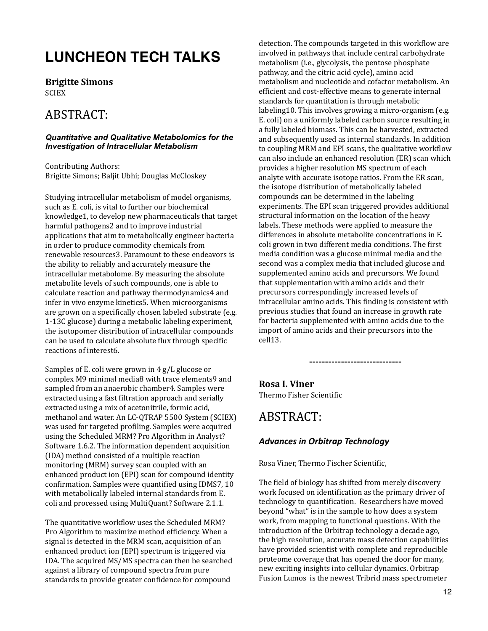# **LUNCHEON TECH TALKS**

**Brigitte Simons SCIEX** 

# ABSTRACT:

#### *Quantitative and Qualitative Metabolomics for the Investigation of Intracellular Metabolism*

Contributing Authors: Brigitte Simons; Baljit Ubhi; Douglas McCloskey

Studying intracellular metabolism of model organisms, such as E. coli, is vital to further our biochemical knowledge1, to develop new pharmaceuticals that target harmful pathogens2 and to improve industrial applications that aim to metabolically engineer bacteria in order to produce commodity chemicals from renewable resources3. Paramount to these endeavors is the ability to reliably and accurately measure the intracellular metabolome. By measuring the absolute metabolite levels of such compounds, one is able to calculate reaction and pathway thermodynamics4 and infer in vivo enzyme kinetics5. When microorganisms are grown on a specifically chosen labeled substrate (e.g. 1-13C glucose) during a metabolic labeling experiment, the isotopomer distribution of intracellular compounds can be used to calculate absolute flux through specific reactions of interest6.

Samples of E. coli were grown in  $4$  g/L glucose or complex M9 minimal media8 with trace elements9 and sampled from an anaerobic chamber4. Samples were extracted using a fast filtration approach and serially extracted using a mix of acetonitrile, formic acid, methanol and water. An LC-QTRAP 5500 System (SCIEX) was used for targeted profiling. Samples were acquired using the Scheduled MRM? Pro Algorithm in Analyst? Software 1.6.2. The information dependent acquisition (IDA) method consisted of a multiple reaction monitoring (MRM) survey scan coupled with an enhanced product ion (EPI) scan for compound identity confirmation. Samples were quantified using IDMS7, 10 with metabolically labeled internal standards from E. coli and processed using MultiQuant? Software 2.1.1.

The quantitative workflow uses the Scheduled MRM? Pro Algorithm to maximize method efficiency. When a signal is detected in the MRM scan, acquisition of an enhanced product ion (EPI) spectrum is triggered via IDA. The acquired MS/MS spectra can then be searched against a library of compound spectra from pure standards to provide greater confidence for compound

detection. The compounds targeted in this workflow are involved in pathways that include central carbohydrate metabolism (i.e., glycolysis, the pentose phosphate pathway, and the citric acid cycle), amino acid metabolism and nucleotide and cofactor metabolism. An efficient and cost-effective means to generate internal standards for quantitation is through metabolic labeling10. This involves growing a micro-organism  $(e.g.,\)$ E. coli) on a uniformly labeled carbon source resulting in a fully labeled biomass. This can be harvested, extracted and subsequently used as internal standards. In addition to coupling MRM and EPI scans, the qualitative workflow can also include an enhanced resolution (ER) scan which provides a higher resolution MS spectrum of each analyte with accurate isotope ratios. From the ER scan, the isotope distribution of metabolically labeled compounds can be determined in the labeling experiments. The EPI scan triggered provides additional structural information on the location of the heavy labels. These methods were applied to measure the differences in absolute metabolite concentrations in E. coli grown in two different media conditions. The first media condition was a glucose minimal media and the second was a complex media that included glucose and supplemented amino acids and precursors. We found that supplementation with amino acids and their precursors correspondingly increased levels of intracellular amino acids. This finding is consistent with previous studies that found an increase in growth rate for bacteria supplemented with amino acids due to the import of amino acids and their precursors into the cell13. 

**Rosa I. Viner** Thermo Fisher Scientific

### ABSTRACT:

#### **Advances in Orbitrap Technology**

Rosa Viner, Thermo Fischer Scientific,

The field of biology has shifted from merely discovery work focused on identification as the primary driver of technology to quantification. Researchers have moved beyond "what" is in the sample to how does a system work, from mapping to functional questions. With the introduction of the Orbitrap technology a decade ago, the high resolution, accurate mass detection capabilities have provided scientist with complete and reproducible proteome coverage that has opened the door for many, new exciting insights into cellular dynamics. Orbitrap Fusion Lumos is the newest Tribrid mass spectrometer

-----------------------------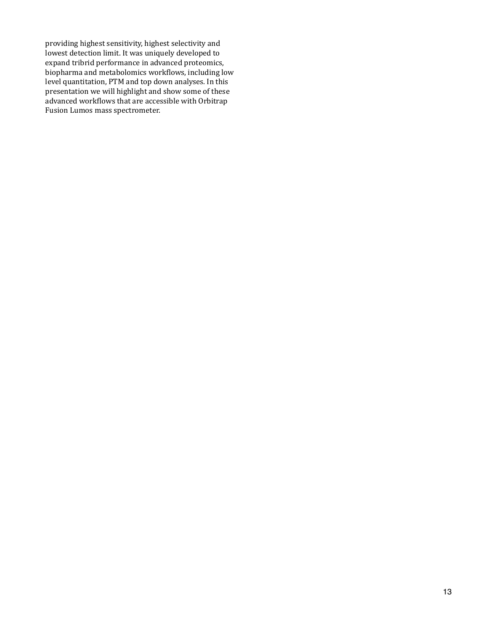providing highest sensitivity, highest selectivity and lowest detection limit. It was uniquely developed to expand tribrid performance in advanced proteomics, biopharma and metabolomics workflows, including low level quantitation, PTM and top down analyses. In this presentation we will highlight and show some of these advanced workflows that are accessible with Orbitrap Fusion Lumos mass spectrometer.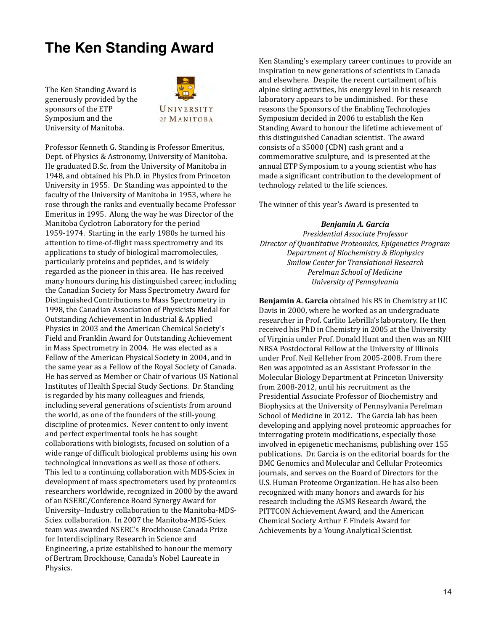# **The Ken Standing Award**

The Ken Standing Award is generously provided by the sponsors of the ETP Symposium and the University of Manitoba.



Professor Kenneth G. Standing is Professor Emeritus, Dept. of Physics & Astronomy, University of Manitoba. He graduated B.Sc. from the University of Manitoba in 1948, and obtained his Ph.D. in Physics from Princeton University in 1955. Dr. Standing was appointed to the faculty of the University of Manitoba in 1953, where he rose through the ranks and eventually became Professor Emeritus in 1995. Along the way he was Director of the Manitoba Cyclotron Laboratory for the period 1959-1974. Starting in the early 1980s he turned his attention to time-of-flight mass spectrometry and its applications to study of biological macromolecules, particularly proteins and peptides, and is widely regarded as the pioneer in this area. He has received many honours during his distinguished career, including the Canadian Society for Mass Spectrometry Award for Distinguished Contributions to Mass Spectrometry in 1998, the Canadian Association of Physicists Medal for Outstanding Achievement in Industrial & Applied Physics in 2003 and the American Chemical Society's Field and Franklin Award for Outstanding Achievement in Mass Spectrometry in 2004. He was elected as a Fellow of the American Physical Society in 2004, and in the same year as a Fellow of the Royal Society of Canada. He has served as Member or Chair of various US National Institutes of Health Special Study Sections. Dr. Standing is regarded by his many colleagues and friends, including several generations of scientists from around the world, as one of the founders of the still-young discipline of proteomics. Never content to only invent and perfect experimental tools he has sought collaborations with biologists, focused on solution of a wide range of difficult biological problems using his own technological innovations as well as those of others. This led to a continuing collaboration with MDS-Sciex in development of mass spectrometers used by proteomics researchers worldwide, recognized in 2000 by the award of an NSERC/Conference Board Synergy Award for University-Industry collaboration to the Manitoba-MDS-Sciex collaboration. In 2007 the Manitoba-MDS-Sciex team was awarded NSERC's Brockhouse Canada Prize for Interdisciplinary Research in Science and Engineering, a prize established to honour the memory of Bertram Brockhouse, Canada's Nobel Laureate in Physics. 

Ken Standing's exemplary career continues to provide an inspiration to new generations of scientists in Canada and elsewhere. Despite the recent curtailment of his alpine skiing activities, his energy level in his research laboratory appears to be undiminished. For these reasons the Sponsors of the Enabling Technologies Symposium decided in 2006 to establish the Ken Standing Award to honour the lifetime achievement of this distinguished Canadian scientist. The award consists of a \$5000 (CDN) cash grant and a commemorative sculpture, and is presented at the annual ETP Symposium to a young scientist who has made a significant contribution to the development of technology related to the life sciences.

The winner of this year's Award is presented to

#### *Benjamin A. Garcia*

*Presidential Associate Professor Director of Quantitative Proteomics, Epigenetics Program Department of Biochemistry & Biophysics*  **Smilow Center for Translational Research** *Perelman School of Medicine University of Pennsylvania*

**Benjamin A. Garcia** obtained his BS in Chemistry at UC Davis in 2000, where he worked as an undergraduate researcher in Prof. Carlito Lebrilla's laboratory. He then received his PhD in Chemistry in 2005 at the University of Virginia under Prof. Donald Hunt and then was an NIH NRSA Postdoctoral Fellow at the University of Illinois under Prof. Neil Kelleher from 2005-2008. From there Ben was appointed as an Assistant Professor in the Molecular Biology Department at Princeton University from 2008-2012, until his recruitment as the Presidential Associate Professor of Biochemistry and Biophysics at the University of Pennsylvania Perelman School of Medicine in 2012. The Garcia lab has been developing and applying novel proteomic approaches for interrogating protein modifications, especially those involved in epigenetic mechanisms, publishing over 155 publications. Dr. Garcia is on the editorial boards for the BMC Genomics and Molecular and Cellular Proteomics journals, and serves on the Board of Directors for the U.S. Human Proteome Organization. He has also been recognized with many honors and awards for his research including the ASMS Research Award, the PITTCON Achievement Award, and the American Chemical Society Arthur F. Findeis Award for Achievements by a Young Analytical Scientist.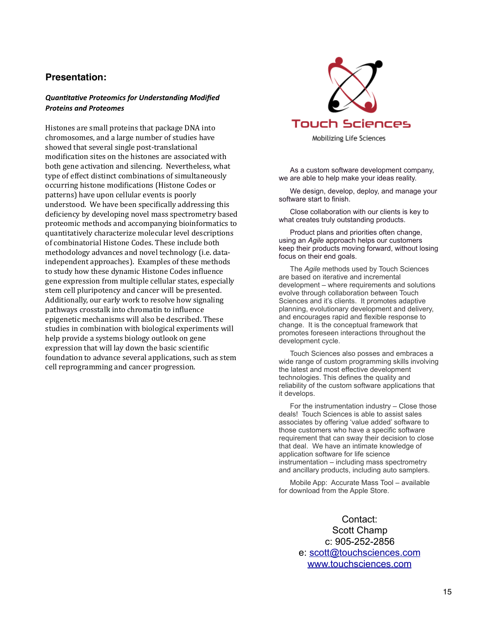#### **Presentation:**

#### **Quantitative Proteomics for Understanding Modified Proteins and Proteomes**

Histones are small proteins that package DNA into chromosomes, and a large number of studies have showed that several single post-translational modification sites on the histones are associated with both gene activation and silencing. Nevertheless, what type of effect distinct combinations of simultaneously occurring histone modifications (Histone Codes or patterns) have upon cellular events is poorly understood. We have been specifically addressing this deficiency by developing novel mass spectrometry based proteomic methods and accompanying bioinformatics to quantitatively characterize molecular level descriptions of combinatorial Histone Codes. These include both methodology advances and novel technology (i.e. dataindependent approaches). Examples of these methods to study how these dynamic Histone Codes influence gene expression from multiple cellular states, especially stem cell pluripotency and cancer will be presented. Additionally, our early work to resolve how signaling pathways crosstalk into chromatin to influence epigenetic mechanisms will also be described. These studies in combination with biological experiments will help provide a systems biology outlook on gene expression that will lay down the basic scientific foundation to advance several applications, such as stem cell reprogramming and cancer progression.



As a custom software development company, we are able to help make your ideas reality.

We design, develop, deploy, and manage your software start to finish.

Close collaboration with our clients is key to what creates truly outstanding products.

Product plans and priorities often change, using an *Agile* approach helps our customers keep their products moving forward, without losing focus on their end goals.

The *Agile* methods used by Touch Sciences are based on iterative and incremental development – where requirements and solutions evolve through collaboration between Touch Sciences and it's clients. It promotes adaptive planning, evolutionary development and delivery, and encourages rapid and flexible response to change. It is the conceptual framework that promotes foreseen interactions throughout the development cycle.

Touch Sciences also posses and embraces a wide range of custom programming skills involving the latest and most effective development technologies. This defines the quality and reliability of the custom software applications that it develops.

For the instrumentation industry – Close those deals! Touch Sciences is able to assist sales associates by offering 'value added' software to those customers who have a specific software requirement that can sway their decision to close that deal. We have an intimate knowledge of application software for life science instrumentation – including mass spectrometry and ancillary products, including auto samplers.

Mobile App: Accurate Mass Tool – available for download from the Apple Store.

> Contact: Scott Champ c: 905-252-2856 e: [scott@touchsciences.com](mailto:scott@touchsciences.com) [www.touchsciences.com](http://www.touchsciences.com)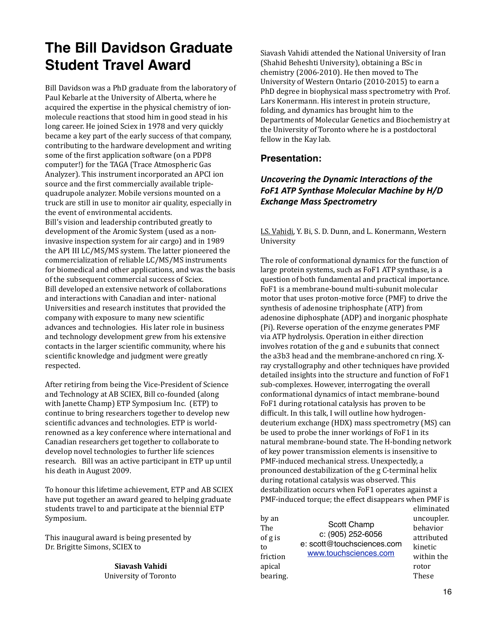# **The Bill Davidson Graduate Student Travel Award**

Bill Davidson was a PhD graduate from the laboratory of Paul Kebarle at the University of Alberta, where he acquired the expertise in the physical chemistry of ionmolecule reactions that stood him in good stead in his long career. He joined Sciex in 1978 and very quickly became a key part of the early success of that company, contributing to the hardware development and writing some of the first application software (on a PDP8 computer!) for the TAGA (Trace Atmospheric Gas Analyzer). This instrument incorporated an APCI ion source and the first commercially available triplequadrupole analyzer. Mobile versions mounted on a truck are still in use to monitor air quality, especially in the event of environmental accidents. Bill's vision and leadership contributed greatly to development of the Aromic System (used as a noninvasive inspection system for air cargo) and in 1989 the API III LC/MS/MS system. The latter pioneered the commercialization of reliable LC/MS/MS instruments for biomedical and other applications, and was the basis of the subsequent commercial success of Sciex. Bill developed an extensive network of collaborations and interactions with Canadian and inter- national Universities and research institutes that provided the company with exposure to many new scientific advances and technologies. His later role in business and technology development grew from his extensive contacts in the larger scientific community, where his scientific knowledge and judgment were greatly respected. 

After retiring from being the Vice-President of Science and Technology at AB SCIEX, Bill co-founded (along with Janette Champ) ETP Symposium Inc. (ETP) to continue to bring researchers together to develop new scientific advances and technologies. ETP is worldrenowned as a key conference where international and Canadian researchers get together to collaborate to develop novel technologies to further life sciences research. Bill was an active participant in ETP up until his death in August 2009.

To honour this lifetime achievement, ETP and AB SCIEX have put together an award geared to helping graduate students travel to and participate at the biennial ETP Symposium. 

This inaugural award is being presented by Dr. Brigitte Simons, SCIEX to

> **Siavash Vahidi** University of Toronto

Siavash Vahidi attended the National University of Iran (Shahid Beheshti University), obtaining a BSc in chemistry (2006-2010). He then moved to The University of Western Ontario (2010-2015) to earn a PhD degree in biophysical mass spectrometry with Prof. Lars Konermann. His interest in protein structure, folding, and dynamics has brought him to the Departments of Molecular Genetics and Biochemistry at the University of Toronto where he is a postdoctoral fellow in the Kay lab.

#### **Presentation:**

#### *Uncovering the Dynamic Interactions of the* FoF1 ATP Synthase Molecular Machine by H/D **Exchange Mass Spectrometry**

LS. Vahidi, Y. Bi, S. D. Dunn, and L. Konermann, Western University 

The role of conformational dynamics for the function of large protein systems, such as FoF1 ATP synthase, is a question of both fundamental and practical importance. FoF1 is a membrane-bound multi-subunit molecular motor that uses proton-motive force (PMF) to drive the synthesis of adenosine triphosphate (ATP) from adenosine diphosphate (ADP) and inorganic phosphate (Pi). Reverse operation of the enzyme generates PMF via ATP hydrolysis. Operation in either direction involves rotation of the g and e subunits that connect the a3b3 head and the membrane-anchored cn ring. Xray crystallography and other techniques have provided detailed insights into the structure and function of FoF1 sub-complexes. However, interrogating the overall conformational dynamics of intact membrane-bound FoF1 during rotational catalysis has proven to be difficult. In this talk, I will outline how hydrogendeuterium exchange (HDX) mass spectrometry (MS) can be used to probe the inner workings of FoF1 in its natural membrane-bound state. The H-bonding network of key power transmission elements is insensitive to PMF-induced mechanical stress. Unexpectedly, a pronounced destabilization of the g C-terminal helix during rotational catalysis was observed. This destabilization occurs when FoF1 operates against a PMF-induced torque; the effect disappears when PMF is eliminated 

| by an<br>The<br>of g is<br>to<br>friction | Scott Champ<br>c: (905) 252-6056<br>e: scott@touchsciences.com<br>www.touchsciences.com | ummuutti<br>uncoupler.<br>behavior<br>attributed<br>kinetic<br>within the |
|-------------------------------------------|-----------------------------------------------------------------------------------------|---------------------------------------------------------------------------|
| apical                                    |                                                                                         | rotor                                                                     |
| bearing.                                  |                                                                                         | These                                                                     |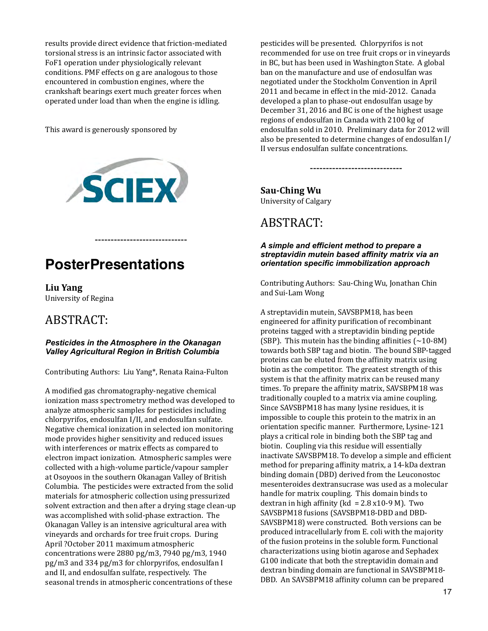results provide direct evidence that friction-mediated torsional stress is an intrinsic factor associated with FoF1 operation under physiologically relevant conditions. PMF effects on g are analogous to those encountered in combustion engines, where the crankshaft bearings exert much greater forces when operated under load than when the engine is idling.

This award is generously sponsored by



-----------------------------

# **PosterPresentations**

**Liu Yang** University of Regina

# ABSTRACT:

#### *Pesticides in the Atmosphere in the Okanagan Valley Agricultural Region in British Columbia*

Contributing Authors: Liu Yang\*, Renata Raina-Fulton

A modified gas chromatography-negative chemical ionization mass spectrometry method was developed to analyze atmospheric samples for pesticides including chlorpyrifos, endosulfan I/II, and endosulfan sulfate. Negative chemical ionization in selected ion monitoring mode provides higher sensitivity and reduced issues with interferences or matrix effects as compared to electron impact ionization. Atmospheric samples were collected with a high-volume particle/vapour sampler at Osoyoos in the southern Okanagan Valley of British Columbia. The pesticides were extracted from the solid materials for atmospheric collection using pressurized solvent extraction and then after a drying stage clean-up was accomplished with solid-phase extraction. The Okanagan Valley is an intensive agricultural area with vineyards and orchards for tree fruit crops. During April ?October 2011 maximum atmospheric concentrations were  $2880$  pg/m3,  $7940$  pg/m3,  $1940$  $pg/m3$  and 334  $pg/m3$  for chlorpyrifos, endosulfan I and II, and endosulfan sulfate, respectively. The seasonal trends in atmospheric concentrations of these

pesticides will be presented. Chlorpyrifos is not recommended for use on tree fruit crops or in vineyards in BC, but has been used in Washington State. A global ban on the manufacture and use of endosulfan was negotiated under the Stockholm Convention in April 2011 and became in effect in the mid-2012. Canada developed a plan to phase-out endosulfan usage by December 31, 2016 and BC is one of the highest usage regions of endosulfan in Canada with 2100 kg of endosulfan sold in 2010. Preliminary data for 2012 will also be presented to determine changes of endosulfan I/ II versus endosulfan sulfate concentrations.

-----------------------------

**Sau-Ching Wu** University of Calgary

# ABSTRACT:

#### *A simple and efficient method to prepare a streptavidin mutein based affinity matrix via an orientation specific immobilization approach*

Contributing Authors: Sau-Ching Wu, Jonathan Chin and Sui-Lam Wong

A streptavidin mutein, SAVSBPM18, has been engineered for affinity purification of recombinant proteins tagged with a streptavidin binding peptide (SBP). This mutein has the binding affinities  $(\sim 10-8M)$ towards both SBP tag and biotin. The bound SBP-tagged proteins can be eluted from the affinity matrix using biotin as the competitor. The greatest strength of this system is that the affinity matrix can be reused many times. To prepare the affinity matrix, SAVSBPM18 was traditionally coupled to a matrix via amine coupling. Since SAVSBPM18 has many lysine residues, it is impossible to couple this protein to the matrix in an orientation specific manner. Furthermore, Lysine-121 plays a critical role in binding both the SBP tag and biotin. Coupling via this residue will essentially inactivate SAVSBPM18. To develop a simple and efficient method for preparing affinity matrix, a 14-kDa dextran binding domain (DBD) derived from the Leuconostoc mesenteroides dextransucrase was used as a molecular handle for matrix coupling. This domain binds to dextran in high affinity (kd =  $2.8 \times 10-9 \text{ M}$ ). Two SAVSBPM18 fusions (SAVSBPM18-DBD and DBD-SAVSBPM18) were constructed. Both versions can be produced intracellularly from E. coli with the majority of the fusion proteins in the soluble form. Functional characterizations using biotin agarose and Sephadex G100 indicate that both the streptavidin domain and dextran binding domain are functional in SAVSBPM18-DBD. An SAVSBPM18 affinity column can be prepared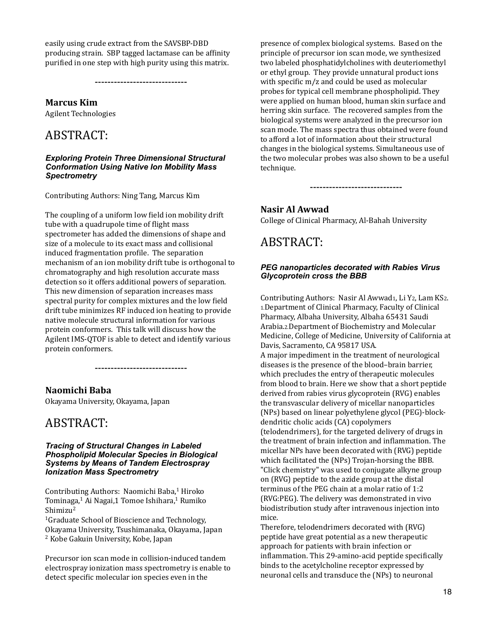easily using crude extract from the SAVSBP-DBD producing strain. SBP tagged lactamase can be affinity purified in one step with high purity using this matrix.

-----------------------------

**Marcus Kim**

**Agilent Technologies** 

# ABSTRACT:

#### *Exploring Protein Three Dimensional Structural Conformation Using Native Ion Mobility Mass Spectrometry*

Contributing Authors: Ning Tang, Marcus Kim

The coupling of a uniform low field ion mobility drift tube with a quadrupole time of flight mass spectrometer has added the dimensions of shape and size of a molecule to its exact mass and collisional induced fragmentation profile. The separation mechanism of an ion mobility drift tube is orthogonal to chromatography and high resolution accurate mass detection so it offers additional powers of separation. This new dimension of separation increases mass spectral purity for complex mixtures and the low field drift tube minimizes RF induced ion heating to provide native molecule structural information for various protein conformers. This talk will discuss how the Agilent IMS-QTOF is able to detect and identify various protein conformers.

-----------------------------

#### **Naomichi Baba**

Okayama University, Okayama, Japan

### ABSTRACT:

#### *Tracing of Structural Changes in Labeled Phospholipid Molecular Species in Biological Systems by Means of Tandem Electrospray Ionization Mass Spectrometry*

Contributing Authors: Naomichi Baba,<sup>1</sup> Hiroko Tominaga,<sup>1</sup> Ai Nagai,1 Tomoe Ishihara,<sup>1</sup> Rumiko Shimizu2

<sup>1</sup>Graduate School of Bioscience and Technology, Okayama University, Tsushimanaka, Okayama, Japan <sup>2</sup> Kobe Gakuin University, Kobe, Japan

Precursor ion scan mode in collision-induced tandem electrospray ionization mass spectrometry is enable to detect specific molecular ion species even in the

presence of complex biological systems. Based on the principle of precursor ion scan mode, we synthesized two labeled phosphatidylcholines with deuteriomethyl or ethyl group. They provide unnatural product ions with specific  $m/z$  and could be used as molecular probes for typical cell membrane phospholipid. They were applied on human blood, human skin surface and herring skin surface. The recovered samples from the biological systems were analyzed in the precursor ion scan mode. The mass spectra thus obtained were found to afford a lot of information about their structural changes in the biological systems. Simultaneous use of the two molecular probes was also shown to be a useful technique.

-----------------------------

#### **Nasir Al Awwad**

College of Clinical Pharmacy, Al-Bahah University

# ABSTRACT:

#### *PEG nanoparticles decorated with Rabies Virus Glycoprotein cross the BBB*

Contributing Authors: Nasir Al Awwad1, Li Y2, Lam KS2. 1.Department of Clinical Pharmacy, Faculty of Clinical Pharmacy, Albaha University, Albaha 65431 Saudi Arabia.2.Department of Biochemistry and Molecular Medicine, College of Medicine, University of California at Davis, Sacramento, CA 95817 USA.

A major impediment in the treatment of neurological diseases is the presence of the blood-brain barrier, which precludes the entry of therapeutic molecules from blood to brain. Here we show that a short peptide derived from rabies virus glycoprotein (RVG) enables the transvascular delivery of micellar nanoparticles (NPs) based on linear polyethylene glycol (PEG)-blockdendritic cholic acids (CA) copolymers (telodendrimers), for the targeted delivery of drugs in the treatment of brain infection and inflammation. The micellar NPs have been decorated with (RVG) peptide which facilitated the (NPs) Trojan-horsing the BBB. "Click chemistry" was used to conjugate alkyne group on (RVG) peptide to the azide group at the distal terminus of the PEG chain at a molar ratio of 1:2 (RVG:PEG). The delivery was demonstrated in vivo biodistribution study after intravenous injection into mice. 

Therefore, telodendrimers decorated with (RVG) peptide have great potential as a new therapeutic approach for patients with brain infection or inflammation. This 29-amino-acid peptide specifically binds to the acetylcholine receptor expressed by neuronal cells and transduce the (NPs) to neuronal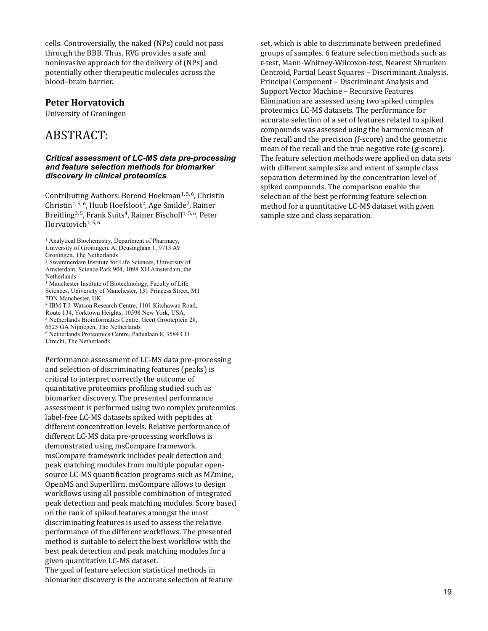cells. Controversially, the naked (NPs) could not pass through the BBB. Thus, RVG provides a safe and noninvasive approach for the delivery of (NPs) and potentially other therapeutic molecules across the blood–brain barrier. 

#### **Peter Horvatovich**

University of Groningen

### ABSTRACT:

#### *Critical assessment of LC-MS data pre-processing and feature selection methods for biomarker discovery in clinical proteomics*

Contributing Authors: Berend Hoekman<sup>1, 5, 6</sup>, Christin Christin<sup>1, 5, 6</sup>, Huub Hoefsloot<sup>2</sup>, Age Smilde<sup>2</sup>, Rainer Breitling<sup>3, 5</sup>, Frank Suits<sup>4</sup>, Rainer Bischoff<sup>1, 5, 6</sup>, Peter Horvatovich<sup>1, 5, 6</sup>

- 2 Swammerdam Institute for Life Sciences, University of Amsterdam, Science Park 904, 1098 XH Amsterdam, the Netherlands
- 3 Manchester Institute of Biotechnology, Faculty of Life Sciences, University of Manchester, 131 Princess Street, M1
- 7DN Manchester, UK 4 IBM T.J. Watson Research Centre, 1101 Kitchawan Road,
- Route 134, Yorktown Heights, 10598 New York, USA.
- 5 Netherlands Bioinformatics Centre, Geert Grooteplein 28,
- 6525 GA Nijmegen, The Netherlands
- 6 Netherlands Proteomics Centre, Padualaan 8, 3584 CH Utrecht, The Netherlands

Performance assessment of LC-MS data pre-processing and selection of discriminating features (peaks) is critical to interpret correctly the outcome of quantitative proteomics profiling studied such as biomarker discovery. The presented performance assessment is performed using two complex proteomics label-free LC-MS datasets spiked with peptides at different concentration levels. Relative performance of different LC-MS data pre-processing workflows is demonstrated using msCompare framework. msCompare framework includes peak detection and peak matching modules from multiple popular opensource LC-MS quantification programs such as MZmine, OpenMS and SuperHirn. msCompare allows to design workflows using all possible combination of integrated peak detection and peak matching modules. Score based on the rank of spiked features amongst the most discriminating features is used to assess the relative performance of the different workflows. The presented method is suitable to select the best workflow with the best peak detection and peak matching modules for a given quantitative LC-MS dataset.

The goal of feature selection statistical methods in biomarker discovery is the accurate selection of feature set, which is able to discriminate between predefined groups of samples. 6 feature selection methods such as *t*-test, Mann-Whitney-Wilcoxon-test, Nearest Shrunken Centroid, Partial Least Squares - Discriminant Analysis, Principal Component – Discriminant Analysis and Support Vector Machine - Recursive Features Elimination are assessed using two spiked complex proteomics LC-MS datasets. The performance for accurate selection of a set of features related to spiked compounds was assessed using the harmonic mean of the recall and the precision (f-score) and the geometric mean of the recall and the true negative rate (g-score). The feature selection methods were applied on data sets with different sample size and extent of sample class separation determined by the concentration level of spiked compounds. The comparison enable the selection of the best performing feature selection method for a quantitative LC-MS dataset with given sample size and class separation.

<sup>&</sup>lt;sup>1</sup> Analytical Biochemistry, Department of Pharmacy,

University of Groningen, A. Deusinglaan 1, 9713 AV

Groningen, The Netherlands